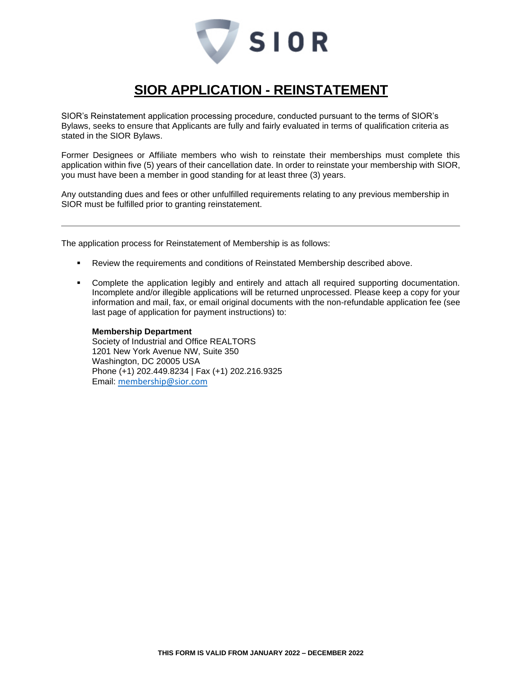

## **SIOR APPLICATION - REINSTATEMENT**

SIOR's Reinstatement application processing procedure, conducted pursuant to the terms of SIOR's Bylaws, seeks to ensure that Applicants are fully and fairly evaluated in terms of qualification criteria as stated in the SIOR Bylaws.

Former Designees or Affiliate members who wish to reinstate their memberships must complete this application within five (5) years of their cancellation date. In order to reinstate your membership with SIOR, you must have been a member in good standing for at least three (3) years.

Any outstanding dues and fees or other unfulfilled requirements relating to any previous membership in SIOR must be fulfilled prior to granting reinstatement.

The application process for Reinstatement of Membership is as follows:

- **Review the requirements and conditions of Reinstated Membership described above.**
- Complete the application legibly and entirely and attach all required supporting documentation. Incomplete and/or illegible applications will be returned unprocessed. Please keep a copy for your information and mail, fax, or email original documents with the non-refundable application fee (see last page of application for payment instructions) to:

## **Membership Department**

Society of Industrial and Office REALTORS 1201 New York Avenue NW, Suite 350 Washington, DC 20005 USA Phone (+1) 202.449.8234 | Fax (+1) 202.216.9325 Email: [membership@sior.com](mailto:membership@sior.com)